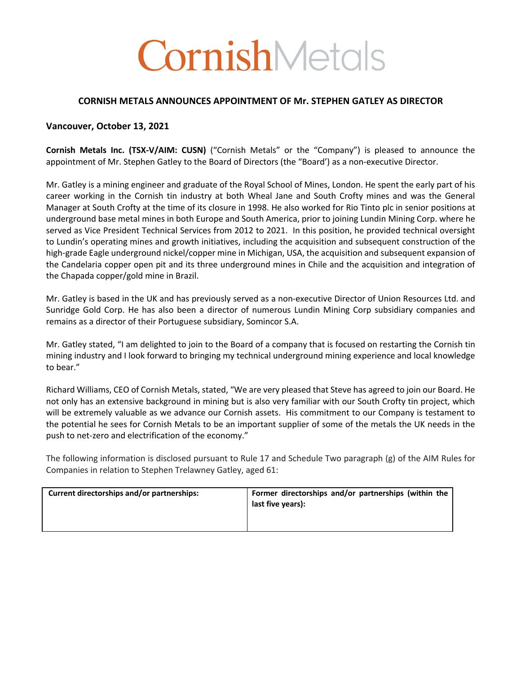# CornishMetals

## **CORNISH METALS ANNOUNCES APPOINTMENT OF Mr. STEPHEN GATLEY AS DIRECTOR**

## **Vancouver, October 13, 2021**

**Cornish Metals Inc. (TSX-V/AIM: CUSN)** ("Cornish Metals" or the "Company") is pleased to announce the appointment of Mr. Stephen Gatley to the Board of Directors (the "Board') as a non-executive Director.

Mr. Gatley is a mining engineer and graduate of the Royal School of Mines, London. He spent the early part of his career working in the Cornish tin industry at both Wheal Jane and South Crofty mines and was the General Manager at South Crofty at the time of its closure in 1998. He also worked for Rio Tinto plc in senior positions at underground base metal mines in both Europe and South America, prior to joining Lundin Mining Corp. where he served as Vice President Technical Services from 2012 to 2021. In this position, he provided technical oversight to Lundin's operating mines and growth initiatives, including the acquisition and subsequent construction of the high-grade Eagle underground nickel/copper mine in Michigan, USA, the acquisition and subsequent expansion of the Candelaria copper open pit and its three underground mines in Chile and the acquisition and integration of the Chapada copper/gold mine in Brazil.

Mr. Gatley is based in the UK and has previously served as a non-executive Director of Union Resources Ltd. and Sunridge Gold Corp. He has also been a director of numerous Lundin Mining Corp subsidiary companies and remains as a director of their Portuguese subsidiary, Somincor S.A.

Mr. Gatley stated, "I am delighted to join to the Board of a company that is focused on restarting the Cornish tin mining industry and I look forward to bringing my technical underground mining experience and local knowledge to bear."

Richard Williams, CEO of Cornish Metals, stated, "We are very pleased that Steve has agreed to join our Board. He not only has an extensive background in mining but is also very familiar with our South Crofty tin project, which will be extremely valuable as we advance our Cornish assets. His commitment to our Company is testament to the potential he sees for Cornish Metals to be an important supplier of some of the metals the UK needs in the push to net-zero and electrification of the economy."

The following information is disclosed pursuant to Rule 17 and Schedule Two paragraph (g) of the AIM Rules for Companies in relation to Stephen Trelawney Gatley, aged 61:

| Current directorships and/or partnerships: | Former directorships and/or partnerships (within the<br>last five years): |
|--------------------------------------------|---------------------------------------------------------------------------|
|                                            |                                                                           |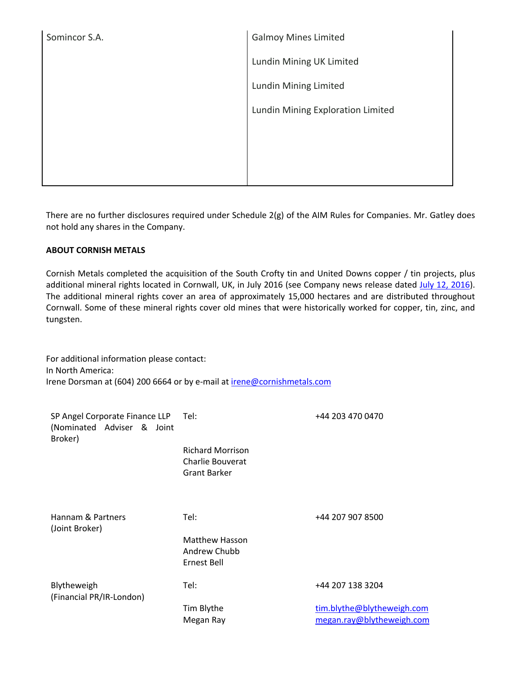| Somincor S.A. | <b>Galmoy Mines Limited</b>       |  |
|---------------|-----------------------------------|--|
|               | Lundin Mining UK Limited          |  |
|               | Lundin Mining Limited             |  |
|               | Lundin Mining Exploration Limited |  |
|               |                                   |  |
|               |                                   |  |
|               |                                   |  |

There are no further disclosures required under Schedule 2(g) of the AIM Rules for Companies. Mr. Gatley does not hold any shares in the Company.

## **ABOUT CORNISH METALS**

Cornish Metals completed the acquisition of the South Crofty tin and United Downs copper / tin projects, plus additional mineral rights located in Cornwall, UK, in July 2016 (see Company news release dated July 12, 2016). The additional mineral rights cover an area of approximately 15,000 hectares and are distributed throughout Cornwall. Some of these mineral rights cover old mines that were historically worked for copper, tin, zinc, and tungsten.

For additional information please contact: In North America: Irene Dorsman at (604) 200 6664 or by e-mail at irene@cornishmetals.com

| SP Angel Corporate Finance LLP Tel:<br>(Nominated Adviser & Joint<br>Broker) |                                                                    | +44 203 470 0470                                        |
|------------------------------------------------------------------------------|--------------------------------------------------------------------|---------------------------------------------------------|
|                                                                              | <b>Richard Morrison</b><br>Charlie Bouverat<br><b>Grant Barker</b> |                                                         |
| Hannam & Partners<br>(Joint Broker)                                          | Tel:                                                               | +44 207 907 8500                                        |
|                                                                              | <b>Matthew Hasson</b><br>Andrew Chubb<br>Ernest Bell               |                                                         |
| Blytheweigh<br>(Financial PR/IR-London)                                      | Tel:                                                               | +44 207 138 3204                                        |
|                                                                              | Tim Blythe<br>Megan Ray                                            | tim.blythe@blytheweigh.com<br>megan.ray@blytheweigh.com |